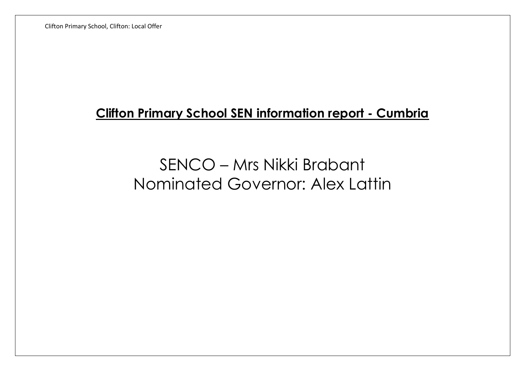Clifton Primary School, Clifton: Local Offer

## **Clifton Primary School SEN information report - Cumbria**

## SENCO – Mrs Nikki Brabant Nominated Governor: Alex Lattin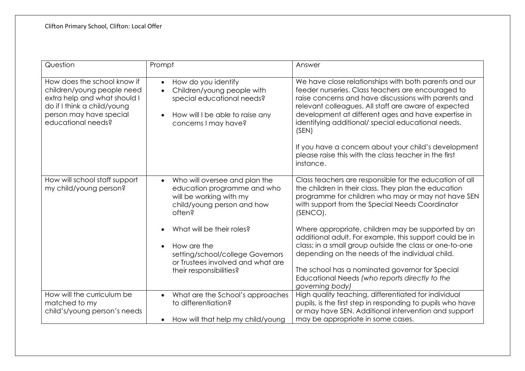| Question                                                                                                                                                                  | Prompt                                                                                                                                                                                                                                                                                                    | Answer                                                                                                                                                                                                                                                                                                                                                                                                                                                                                                                                                                   |
|---------------------------------------------------------------------------------------------------------------------------------------------------------------------------|-----------------------------------------------------------------------------------------------------------------------------------------------------------------------------------------------------------------------------------------------------------------------------------------------------------|--------------------------------------------------------------------------------------------------------------------------------------------------------------------------------------------------------------------------------------------------------------------------------------------------------------------------------------------------------------------------------------------------------------------------------------------------------------------------------------------------------------------------------------------------------------------------|
| How does the school know if<br>children/young people need<br>extra help and what should I<br>do if I think a child/young<br>person may have special<br>educational needs? | How do you identify<br>$\bullet$<br>Children/young people with<br>$\bullet$<br>special educational needs?<br>How will I be able to raise any<br>$\bullet$<br>concerns I may have?                                                                                                                         | We have close relationships with both parents and our<br>feeder nurseries. Class teachers are encouraged to<br>raise concerns and have discussions with parents and<br>relevant colleagues. All staff are aware of expected<br>development at different ages and have expertise in<br>identifying additional/special educational needs.<br>(SEN)<br>If you have a concern about your child's development<br>please raise this with the class teacher in the first<br>instance.                                                                                           |
| How will school staff support<br>my child/young person?                                                                                                                   | Who will oversee and plan the<br>$\bullet$<br>education programme and who<br>will be working with my<br>child/young person and how<br>often?<br>What will be their roles?<br>How are the<br>$\bullet$<br>setting/school/college Governors<br>or Trustees involved and what are<br>their responsibilities? | Class teachers are responsible for the education of all<br>the children in their class. They plan the education<br>programme for children who may or may not have SEN<br>with support from the Special Needs Coordinator<br>(SENCO).<br>Where appropriate, children may be supported by an<br>additional adult. For example, this support could be in<br>class; in a small group outside the class or one-to-one<br>depending on the needs of the individual child.<br>The school has a nominated governor for Special<br>Educational Needs (who reports directly to the |
| How will the curriculum be<br>matched to my<br>child's/young person's needs                                                                                               | What are the School's approaches<br>$\bullet$<br>to differentiation?<br>How will that help my child/young<br>$\bullet$                                                                                                                                                                                    | governing body)<br>High quality teaching, differentiated for individual<br>pupils, is the first step in responding to pupils who have<br>or may have SEN. Additional intervention and support<br>may be appropriate in some cases.                                                                                                                                                                                                                                                                                                                                       |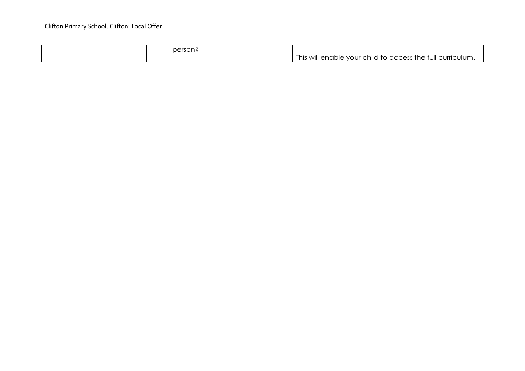| person? | This will enable your child to access the full curriculum. |
|---------|------------------------------------------------------------|
|         |                                                            |
|         |                                                            |
|         |                                                            |
|         |                                                            |
|         |                                                            |
|         |                                                            |
|         |                                                            |
|         |                                                            |
|         |                                                            |
|         |                                                            |
|         |                                                            |
|         |                                                            |
|         |                                                            |
|         |                                                            |
|         |                                                            |
|         |                                                            |
|         |                                                            |
|         |                                                            |
|         |                                                            |
|         |                                                            |
|         |                                                            |
|         |                                                            |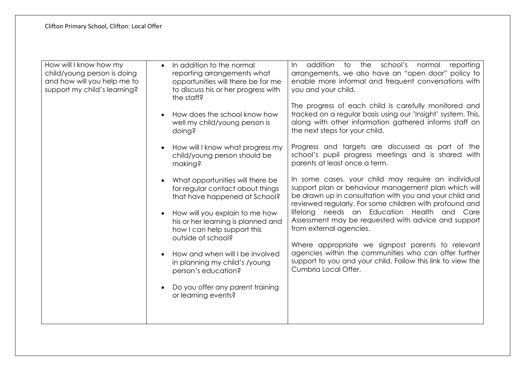| How will I know how my<br>child/young person is doing<br>and how will you help me to<br>support my child's learning? | In addition to the normal<br>$\bullet$<br>reporting arrangements what<br>opportunities will there be for me<br>to discuss his or her progress with<br>the staff?<br>How does the school know how<br>$\bullet$<br>well my child/young person is<br>doing?<br>How will I know what progress my<br>child/young person should be<br>making?<br>What opportunities will there be<br>for regular contact about things<br>that have happened at School?<br>How will you explain to me how<br>$\bullet$<br>his or her learning is planned and<br>how I can help support this<br>outside of school?<br>How and when will I be involved<br>in planning my child's /young<br>person's education?<br>Do you offer any parent training<br>or learning events? | addition to the school's normal reporting<br>In<br>arrangements, we also have an "open door" policy to<br>enable more informal and frequent conversations with<br>you and your child.<br>The progress of each child is carefully monitored and<br>tracked on a regular basis using our 'Insight' system. This,<br>along with other information gathered informs staff on<br>the next steps for your child.<br>Progress and targets are discussed as part of the<br>school's pupil progress meetings and is shared with<br>parents at least once a term.<br>In some cases, your child may require an individual<br>support plan or behaviour management plan which will<br>be drawn up in consultation with you and your child and<br>reviewed regularly. For some children with profound and<br>lifelong needs an Education Health and Care<br>Assessment may be requested with advice and support<br>from external agencies.<br>Where appropriate we signpost parents to relevant<br>agencies within the communities who can offer further<br>support to you and your child. Follow this link to view the<br>Cumbria Local Offer. |
|----------------------------------------------------------------------------------------------------------------------|--------------------------------------------------------------------------------------------------------------------------------------------------------------------------------------------------------------------------------------------------------------------------------------------------------------------------------------------------------------------------------------------------------------------------------------------------------------------------------------------------------------------------------------------------------------------------------------------------------------------------------------------------------------------------------------------------------------------------------------------------|------------------------------------------------------------------------------------------------------------------------------------------------------------------------------------------------------------------------------------------------------------------------------------------------------------------------------------------------------------------------------------------------------------------------------------------------------------------------------------------------------------------------------------------------------------------------------------------------------------------------------------------------------------------------------------------------------------------------------------------------------------------------------------------------------------------------------------------------------------------------------------------------------------------------------------------------------------------------------------------------------------------------------------------------------------------------------------------------------------------------------------|
|----------------------------------------------------------------------------------------------------------------------|--------------------------------------------------------------------------------------------------------------------------------------------------------------------------------------------------------------------------------------------------------------------------------------------------------------------------------------------------------------------------------------------------------------------------------------------------------------------------------------------------------------------------------------------------------------------------------------------------------------------------------------------------------------------------------------------------------------------------------------------------|------------------------------------------------------------------------------------------------------------------------------------------------------------------------------------------------------------------------------------------------------------------------------------------------------------------------------------------------------------------------------------------------------------------------------------------------------------------------------------------------------------------------------------------------------------------------------------------------------------------------------------------------------------------------------------------------------------------------------------------------------------------------------------------------------------------------------------------------------------------------------------------------------------------------------------------------------------------------------------------------------------------------------------------------------------------------------------------------------------------------------------|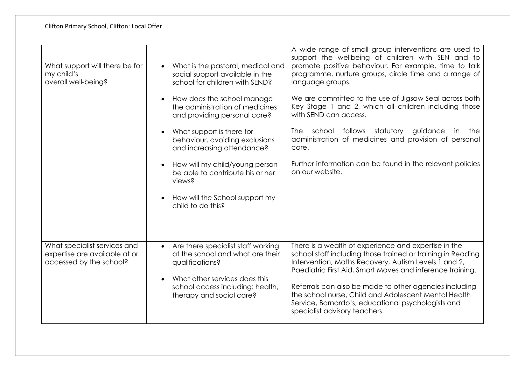| What support will there be for<br>my child's<br>overall well-being?                      | What is the pastoral, medical and<br>$\bullet$<br>social support available in the<br>school for children with SEND? | A wide range of small group interventions are used to<br>support the wellbeing of children with SEN and to<br>promote positive behaviour. For example, time to talk<br>programme, nurture groups, circle time and a range of<br>language groups. |
|------------------------------------------------------------------------------------------|---------------------------------------------------------------------------------------------------------------------|--------------------------------------------------------------------------------------------------------------------------------------------------------------------------------------------------------------------------------------------------|
|                                                                                          | How does the school manage<br>$\bullet$<br>the administration of medicines<br>and providing personal care?          | We are committed to the use of Jigsaw Seal across both<br>Key Stage 1 and 2, which all children including those<br>with SEND can access.                                                                                                         |
|                                                                                          | What support is there for<br>$\bullet$<br>behaviour, avoiding exclusions<br>and increasing attendance?              | The school follows statutory guidance<br>the<br>in<br>administration of medicines and provision of personal<br>care.                                                                                                                             |
|                                                                                          | How will my child/young person<br>$\bullet$<br>be able to contribute his or her<br>views?                           | Further information can be found in the relevant policies<br>on our website.                                                                                                                                                                     |
|                                                                                          | How will the School support my<br>$\bullet$<br>child to do this?                                                    |                                                                                                                                                                                                                                                  |
|                                                                                          |                                                                                                                     |                                                                                                                                                                                                                                                  |
| What specialist services and<br>expertise are available at or<br>accessed by the school? | Are there specialist staff working<br>$\bullet$<br>at the school and what are their<br>qualifications?              | There is a wealth of experience and expertise in the<br>school staff including those trained or training in Reading<br>Intervention, Maths Recovery, Autism Levels 1 and 2,<br>Paediatric First Aid, Smart Moves and inference training.         |
|                                                                                          | What other services does this<br>$\bullet$<br>school access including: health,<br>therapy and social care?          | Referrals can also be made to other agencies including<br>the school nurse, Child and Adolescent Mental Health<br>Service, Barnardo's, educational psychologists and<br>specialist advisory teachers.                                            |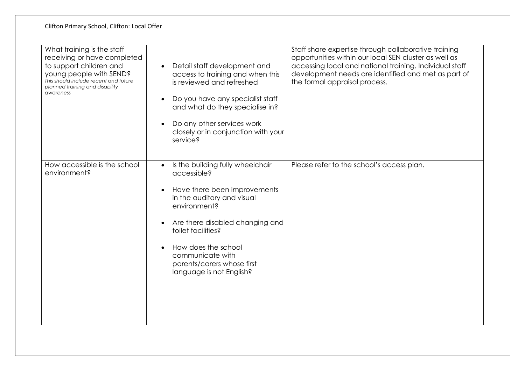| What training is the staff<br>receiving or have completed<br>to support children and<br>young people with SEND?<br>This should include recent and future<br>planned training and disability<br>awareness | Detail staff development and<br>$\bullet$<br>access to training and when this<br>is reviewed and refreshed<br>Do you have any specialist staff<br>$\bullet$<br>and what do they specialise in?<br>Do any other services work<br>$\bullet$<br>closely or in conjunction with your<br>service?                                                    | Staff share expertise through collaborative training<br>opportunities within our local SEN cluster as well as<br>accessing local and national training. Individual staff<br>development needs are identified and met as part of<br>the formal appraisal process. |
|----------------------------------------------------------------------------------------------------------------------------------------------------------------------------------------------------------|-------------------------------------------------------------------------------------------------------------------------------------------------------------------------------------------------------------------------------------------------------------------------------------------------------------------------------------------------|------------------------------------------------------------------------------------------------------------------------------------------------------------------------------------------------------------------------------------------------------------------|
| How accessible is the school<br>environment?                                                                                                                                                             | Is the building fully wheelchair<br>$\bullet$<br>accessible?<br>Have there been improvements<br>$\bullet$<br>in the auditory and visual<br>environment?<br>Are there disabled changing and<br>$\bullet$<br>toilet facilities?<br>How does the school<br>$\bullet$<br>communicate with<br>parents/carers whose first<br>language is not English? | Please refer to the school's access plan.                                                                                                                                                                                                                        |